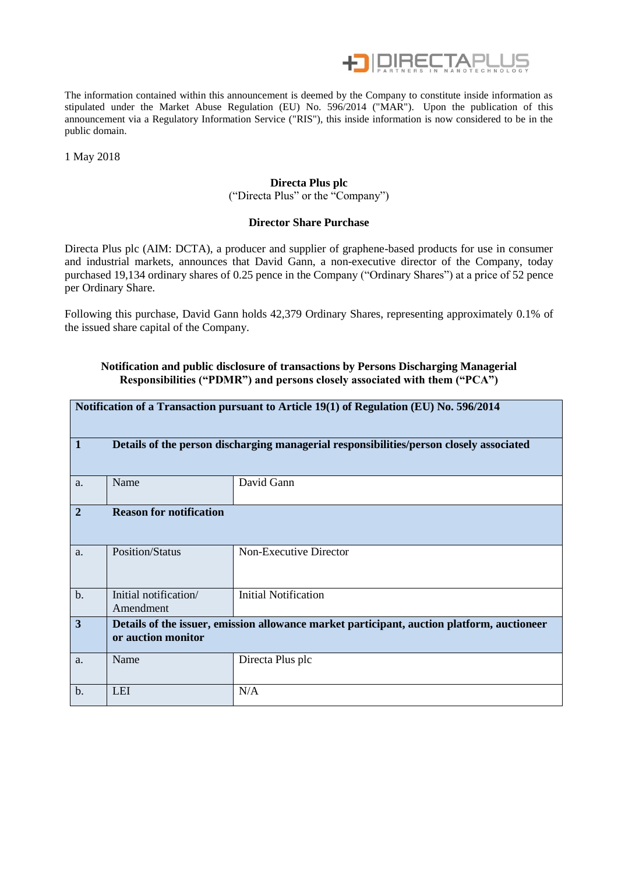

The information contained within this announcement is deemed by the Company to constitute inside information as stipulated under the Market Abuse Regulation (EU) No. 596/2014 ("MAR"). Upon the publication of this announcement via a Regulatory Information Service ("RIS"), this inside information is now considered to be in the public domain.

1 May 2018

## **Directa Plus plc**

("Directa Plus" or the "Company")

#### **Director Share Purchase**

Directa Plus plc (AIM: DCTA), a producer and supplier of graphene-based products for use in consumer and industrial markets, announces that David Gann, a non-executive director of the Company, today purchased 19,134 ordinary shares of 0.25 pence in the Company ("Ordinary Shares") at a price of 52 pence per Ordinary Share.

Following this purchase, David Gann holds 42,379 Ordinary Shares, representing approximately 0.1% of the issued share capital of the Company.

## **Notification and public disclosure of transactions by Persons Discharging Managerial Responsibilities ("PDMR") and persons closely associated with them ("PCA")**

| Notification of a Transaction pursuant to Article 19(1) of Regulation (EU) No. 596/2014 |                                                                                                                  |                             |  |  |  |  |
|-----------------------------------------------------------------------------------------|------------------------------------------------------------------------------------------------------------------|-----------------------------|--|--|--|--|
| $\mathbf{1}$                                                                            | Details of the person discharging managerial responsibilities/person closely associated                          |                             |  |  |  |  |
| a.                                                                                      | Name                                                                                                             | David Gann                  |  |  |  |  |
| $\overline{2}$                                                                          | <b>Reason for notification</b>                                                                                   |                             |  |  |  |  |
| a.                                                                                      | Position/Status                                                                                                  | Non-Executive Director      |  |  |  |  |
| $\mathbf{b}$ .                                                                          | Initial notification/<br>Amendment                                                                               | <b>Initial Notification</b> |  |  |  |  |
| $\overline{3}$                                                                          | Details of the issuer, emission allowance market participant, auction platform, auctioneer<br>or auction monitor |                             |  |  |  |  |
| a.                                                                                      | Name                                                                                                             | Directa Plus plc            |  |  |  |  |
| $b$ .                                                                                   | <b>LEI</b>                                                                                                       | N/A                         |  |  |  |  |